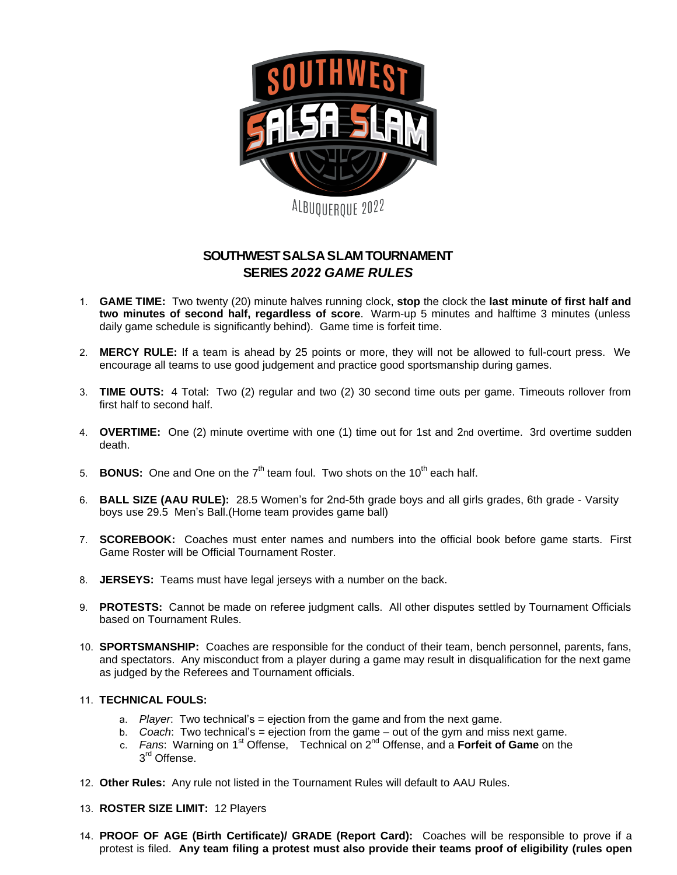

## **SOUTHWEST SALSA SLAM TOURNAMENT SERIES** *2022 GAME RULES*

- 1. **GAME TIME:** Two twenty (20) minute halves running clock, **stop** the clock the **last minute of first half and two minutes of second half, regardless of score**. Warm-up 5 minutes and halftime 3 minutes (unless daily game schedule is significantly behind). Game time is forfeit time.
- 2. **MERCY RULE:** If a team is ahead by 25 points or more, they will not be allowed to full-court press. We encourage all teams to use good judgement and practice good sportsmanship during games.
- 3. **TIME OUTS:** 4 Total: Two (2) regular and two (2) 30 second time outs per game. Timeouts rollover from first half to second half.
- 4. **OVERTIME:** One (2) minute overtime with one (1) time out for 1st and 2nd overtime. 3rd overtime sudden death.
- 5. **BONUS:** One and One on the 7<sup>th</sup> team foul. Two shots on the 10<sup>th</sup> each half.
- 6. **BALL SIZE (AAU RULE):** 28.5 Women's for 2nd-5th grade boys and all girls grades, 6th grade Varsity boys use 29.5 Men's Ball.(Home team provides game ball)
- 7. **SCOREBOOK:** Coaches must enter names and numbers into the official book before game starts. First Game Roster will be Official Tournament Roster.
- 8. **JERSEYS:** Teams must have legal jerseys with a number on the back.
- 9. **PROTESTS:** Cannot be made on referee judgment calls. All other disputes settled by Tournament Officials based on Tournament Rules.
- 10. **SPORTSMANSHIP:** Coaches are responsible for the conduct of their team, bench personnel, parents, fans, and spectators. Any misconduct from a player during a game may result in disqualification for the next game as judged by the Referees and Tournament officials.

## 11. **TECHNICAL FOULS:**

- a. *Player*: Two technical's = ejection from the game and from the next game.
- b. *Coach*: Two technical's = ejection from the game out of the gym and miss next game.
- c. Fans: Warning on 1<sup>st</sup> Offense, Technical on 2<sup>nd</sup> Offense, and a Forfeit of Game on the 3<sup>rd</sup> Offense.
- 12. **Other Rules:** Any rule not listed in the Tournament Rules will default to AAU Rules.
- 13. **ROSTER SIZE LIMIT:** 12 Players
- 14. **PROOF OF AGE (Birth Certificate)/ GRADE (Report Card):** Coaches will be responsible to prove if a protest is filed. **Any team filing a protest must also provide their teams proof of eligibility (rules open**